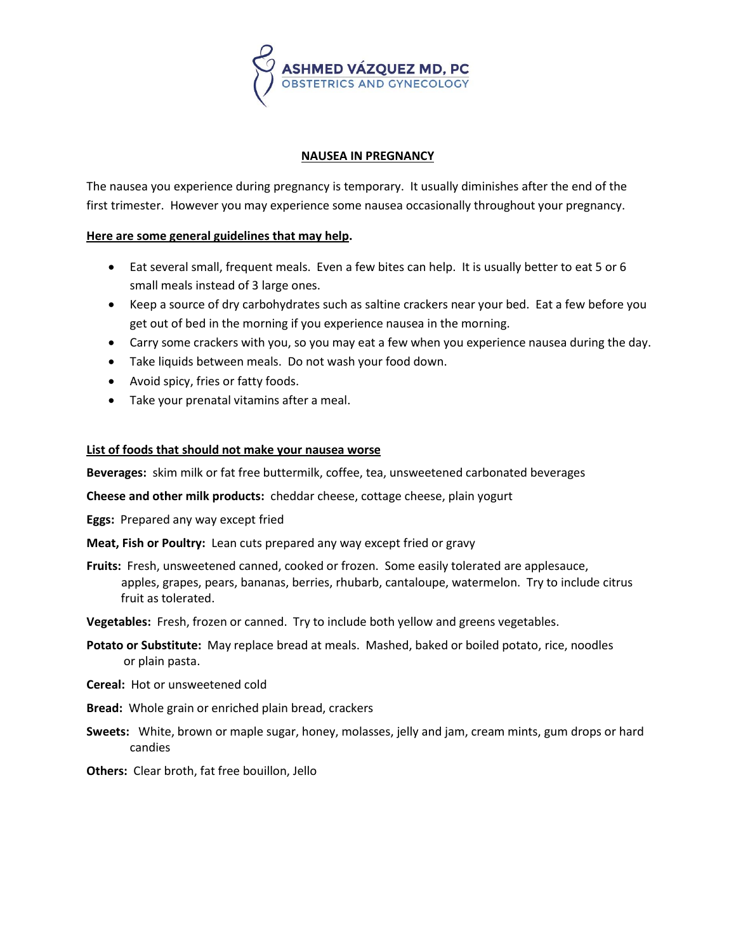

## **NAUSEA IN PREGNANCY**

The nausea you experience during pregnancy is temporary. It usually diminishes after the end of the first trimester. However you may experience some nausea occasionally throughout your pregnancy.

## **Here are some general guidelines that may help.**

- Eat several small, frequent meals. Even a few bites can help. It is usually better to eat 5 or 6 small meals instead of 3 large ones.
- Keep a source of dry carbohydrates such as saltine crackers near your bed. Eat a few before you get out of bed in the morning if you experience nausea in the morning.
- Carry some crackers with you, so you may eat a few when you experience nausea during the day.
- Take liquids between meals. Do not wash your food down.
- Avoid spicy, fries or fatty foods.
- Take your prenatal vitamins after a meal.

## **List of foods that should not make your nausea worse**

**Beverages:** skim milk or fat free buttermilk, coffee, tea, unsweetened carbonated beverages

**Cheese and other milk products:** cheddar cheese, cottage cheese, plain yogurt

**Eggs:** Prepared any way except fried

**Meat, Fish or Poultry:** Lean cuts prepared any way except fried or gravy

- **Fruits:** Fresh, unsweetened canned, cooked or frozen. Some easily tolerated are applesauce, apples, grapes, pears, bananas, berries, rhubarb, cantaloupe, watermelon. Try to include citrus fruit as tolerated.
- **Vegetables:** Fresh, frozen or canned. Try to include both yellow and greens vegetables.
- **Potato or Substitute:** May replace bread at meals. Mashed, baked or boiled potato, rice, noodles or plain pasta.
- **Cereal:** Hot or unsweetened cold
- **Bread:** Whole grain or enriched plain bread, crackers
- **Sweets:** White, brown or maple sugar, honey, molasses, jelly and jam, cream mints, gum drops or hard candies
- **Others:** Clear broth, fat free bouillon, Jello